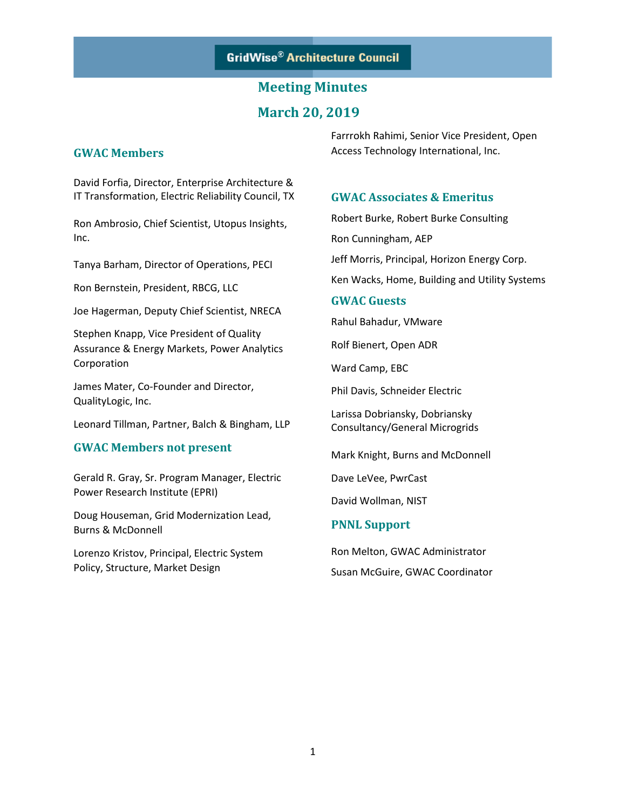# **March 20, 2019**

### **GWAC Members**

David Forfia, Director, Enterprise Architecture & IT Transformation, Electric Reliability Council, TX

Ron Ambrosio, Chief Scientist, Utopus Insights, Inc.

Tanya Barham, Director of Operations, PECI

Ron Bernstein, President, RBCG, LLC

Joe Hagerman, Deputy Chief Scientist, NRECA

Stephen Knapp, Vice President of Quality Assurance & Energy Markets, Power Analytics Corporation

James Mater, Co-Founder and Director, QualityLogic, Inc.

Leonard Tillman, Partner, Balch & Bingham, LLP

### **GWAC Members not present**

Gerald R. Gray, Sr. Program Manager, Electric Power Research Institute (EPRI)

Doug Houseman, Grid Modernization Lead, Burns & McDonnell

Lorenzo Kristov, Principal, Electric System Policy, Structure, Market Design

Farrrokh Rahimi, Senior Vice President, Open Access Technology International, Inc.

### **GWAC Associates & Emeritus**

Robert Burke, Robert Burke Consulting

Ron Cunningham, AEP

Jeff Morris, Principal, Horizon Energy Corp.

Ken Wacks, Home, Building and Utility Systems

#### **GWAC Guests**

Rahul Bahadur, VMware

Rolf Bienert, Open ADR

Ward Camp, EBC

Phil Davis, Schneider Electric

Larissa Dobriansky, Dobriansky Consultancy/General Microgrids

Mark Knight, Burns and McDonnell

Dave LeVee, PwrCast

David Wollman, NIST

### **PNNL Support**

Ron Melton, GWAC Administrator Susan McGuire, GWAC Coordinator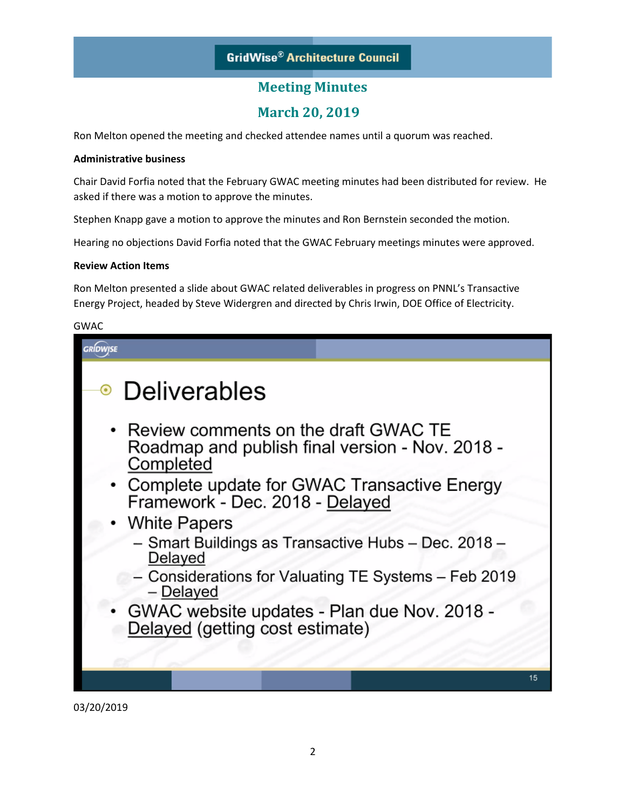# **March 20, 2019**

Ron Melton opened the meeting and checked attendee names until a quorum was reached.

### **Administrative business**

Chair David Forfia noted that the February GWAC meeting minutes had been distributed for review. He asked if there was a motion to approve the minutes.

Stephen Knapp gave a motion to approve the minutes and Ron Bernstein seconded the motion.

Hearing no objections David Forfia noted that the GWAC February meetings minutes were approved.

#### **Review Action Items**

Ron Melton presented a slide about GWAC related deliverables in progress on PNNL's Transactive Energy Project, headed by Steve Widergren and directed by Chris Irwin, DOE Office of Electricity.

#### GWAC

| • Deliverables                                                                                         |    |
|--------------------------------------------------------------------------------------------------------|----|
| • Review comments on the draft GWAC TE<br>Roadmap and publish final version - Nov. 2018 -<br>Completed |    |
| • Complete update for GWAC Transactive Energy<br>Framework - Dec. 2018 - Delayed                       |    |
| • White Papers                                                                                         |    |
| - Smart Buildings as Transactive Hubs - Dec. 2018 -<br>Delayed                                         |    |
| - Considerations for Valuating TE Systems - Feb 2019<br>- Delayed                                      |    |
| • GWAC website updates - Plan due Nov. 2018 -<br>Delayed (getting cost estimate)                       |    |
|                                                                                                        |    |
|                                                                                                        | 15 |
|                                                                                                        |    |

03/20/2019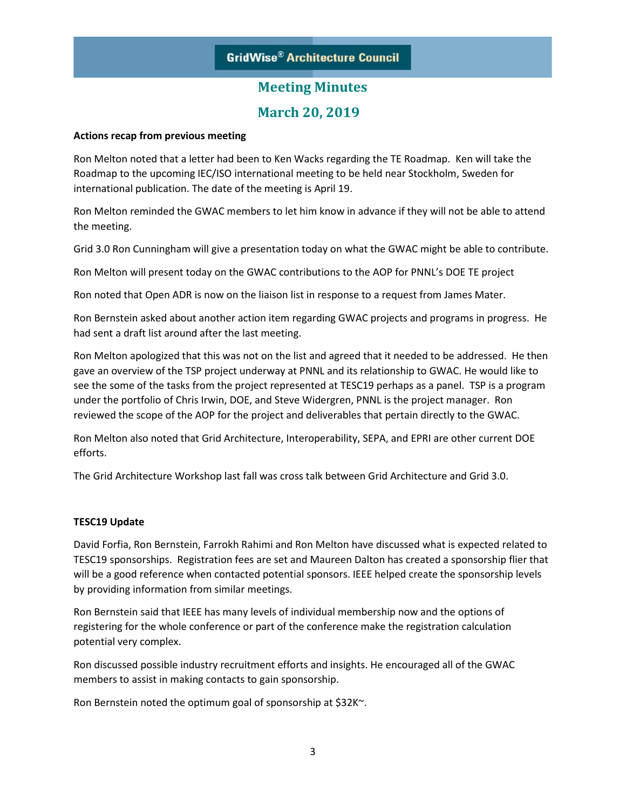# **March 20, 2019**

#### **Actions recap from previous meeting**

Ron Melton noted that a letter had been to Ken Wacks regarding the TE Roadmap. Ken will take the Roadmap to the upcoming IEC/ISO international meeting to be held near Stockholm, Sweden for international publication. The date of the meeting is April 19.

Ron Melton reminded the GWAC members to let him know in advance if they will not be able to attend the meeting.

Grid 3.0 Ron Cunningham will give a presentation today on what the GWAC might be able to contribute.

Ron Melton will present today on the GWAC contributions to the AOP for PNNL's DOE TE project

Ron noted that Open ADR is now on the liaison list in response to a request from James Mater.

Ron Bernstein asked about another action item regarding GWAC projects and programs in progress. He had sent a draft list around after the last meeting.

Ron Melton apologized that this was not on the list and agreed that it needed to be addressed. He then gave an overview of the TSP project underway at PNNL and its relationship to GWAC. He would like to see the some of the tasks from the project represented at TESC19 perhaps as a panel. TSP is a program under the portfolio of Chris Irwin, DOE, and Steve Widergren, PNNL is the project manager. Ron reviewed the scope of the AOP for the project and deliverables that pertain directly to the GWAC.

Ron Melton also noted that Grid Architecture, Interoperability, SEPA, and EPRI are other current DOE efforts.

The Grid Architecture Workshop last fall was cross talk between Grid Architecture and Grid 3.0.

### **TESC19 Update**

David Forfia, Ron Bernstein, Farrokh Rahimi and Ron Melton have discussed what is expected related to TESC19 sponsorships. Registration fees are set and Maureen Dalton has created a sponsorship flier that will be a good reference when contacted potential sponsors. IEEE helped create the sponsorship levels by providing information from similar meetings.

Ron Bernstein said that IEEE has many levels of individual membership now and the options of registering for the whole conference or part of the conference make the registration calculation potential very complex.

Ron discussed possible industry recruitment efforts and insights. He encouraged all of the GWAC members to assist in making contacts to gain sponsorship.

Ron Bernstein noted the optimum goal of sponsorship at \$32K~.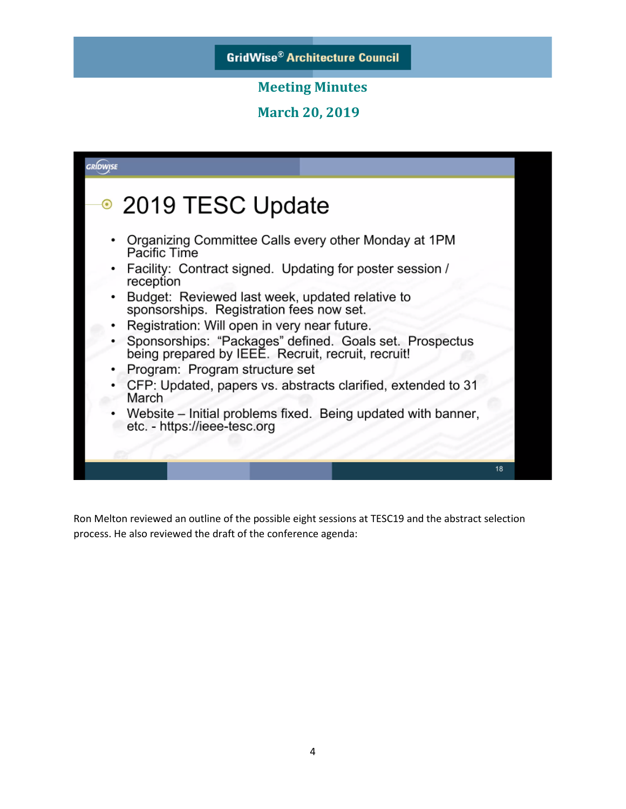**March 20, 2019** 



Ron Melton reviewed an outline of the possible eight sessions at TESC19 and the abstract selection process. He also reviewed the draft of the conference agenda: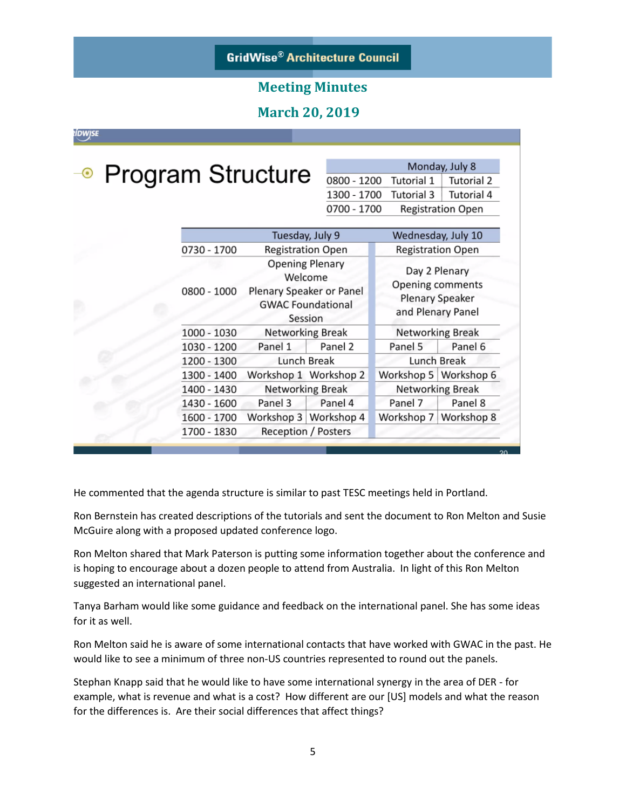### **March 20, 2019**

ÍDWJSE

| ⊕ Program Structure <sub>0800-1</sub> |            |
|---------------------------------------|------------|
|                                       | $1300 -$   |
|                                       | $0700 - 1$ |

Monday, July 8 1200 Tutorial 1 Tutorial 2 1700 Tutorial 3 Tutorial 4 1700 **Registration Open** 

|             | Tuesday, July 9                                                                                                                                             |                       | Wednesday, July 10                                                               |         |  |
|-------------|-------------------------------------------------------------------------------------------------------------------------------------------------------------|-----------------------|----------------------------------------------------------------------------------|---------|--|
| 0730 - 1700 | <b>Registration Open</b><br><b>Opening Plenary</b><br>Welcome<br>Plenary Speaker or Panel<br><b>GWAC Foundational</b><br>Session<br><b>Networking Break</b> |                       | <b>Registration Open</b>                                                         |         |  |
| 0800 - 1000 |                                                                                                                                                             |                       | Day 2 Plenary<br>Opening comments<br><b>Plenary Speaker</b><br>and Plenary Panel |         |  |
| 1000 - 1030 |                                                                                                                                                             |                       | <b>Networking Break</b>                                                          |         |  |
| 1030 - 1200 | Panel 1                                                                                                                                                     | Panel 2               | Panel 5                                                                          | Panel 6 |  |
| 1200 - 1300 | Lunch Break                                                                                                                                                 |                       | <b>Lunch Break</b>                                                               |         |  |
| 1300 - 1400 | Workshop 1 Workshop 2                                                                                                                                       |                       | Workshop 5 Workshop 6                                                            |         |  |
| 1400 - 1430 | <b>Networking Break</b>                                                                                                                                     |                       | <b>Networking Break</b>                                                          |         |  |
| 1430 - 1600 | Panel 3                                                                                                                                                     | Panel 4               | Panel 7                                                                          | Panel 8 |  |
| 1600 - 1700 |                                                                                                                                                             | Workshop 3 Workshop 4 | Workshop 7 Workshop 8                                                            |         |  |
| 1700 - 1830 | <b>Reception / Posters</b>                                                                                                                                  |                       |                                                                                  |         |  |

He commented that the agenda structure is similar to past TESC meetings held in Portland.

Ron Bernstein has created descriptions of the tutorials and sent the document to Ron Melton and Susie McGuire along with a proposed updated conference logo.

Ron Melton shared that Mark Paterson is putting some information together about the conference and is hoping to encourage about a dozen people to attend from Australia. In light of this Ron Melton suggested an international panel.

Tanya Barham would like some guidance and feedback on the international panel. She has some ideas for it as well.

Ron Melton said he is aware of some international contacts that have worked with GWAC in the past. He would like to see a minimum of three non-US countries represented to round out the panels.

Stephan Knapp said that he would like to have some international synergy in the area of DER - for example, what is revenue and what is a cost? How different are our [US] models and what the reason for the differences is. Are their social differences that affect things?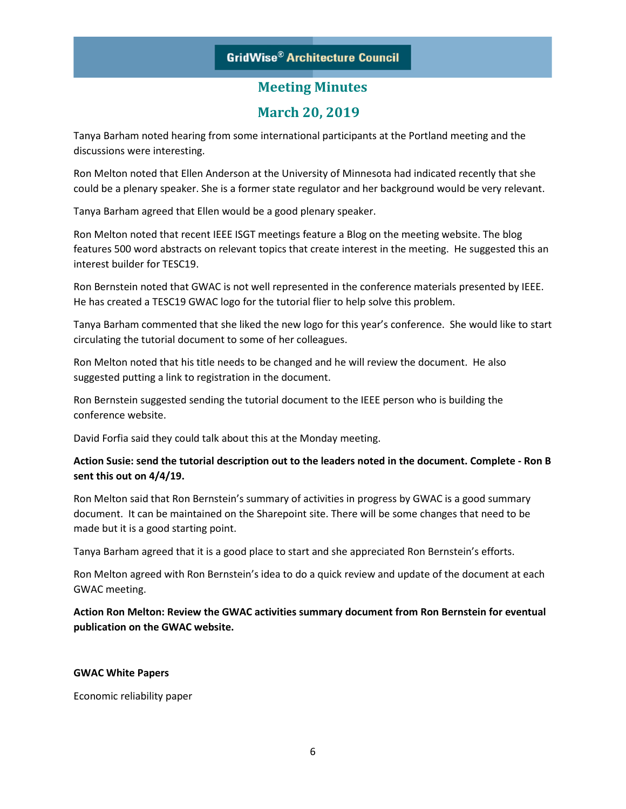# **March 20, 2019**

Tanya Barham noted hearing from some international participants at the Portland meeting and the discussions were interesting.

Ron Melton noted that Ellen Anderson at the University of Minnesota had indicated recently that she could be a plenary speaker. She is a former state regulator and her background would be very relevant.

Tanya Barham agreed that Ellen would be a good plenary speaker.

Ron Melton noted that recent IEEE ISGT meetings feature a Blog on the meeting website. The blog features 500 word abstracts on relevant topics that create interest in the meeting. He suggested this an interest builder for TESC19.

Ron Bernstein noted that GWAC is not well represented in the conference materials presented by IEEE. He has created a TESC19 GWAC logo for the tutorial flier to help solve this problem.

Tanya Barham commented that she liked the new logo for this year's conference. She would like to start circulating the tutorial document to some of her colleagues.

Ron Melton noted that his title needs to be changed and he will review the document. He also suggested putting a link to registration in the document.

Ron Bernstein suggested sending the tutorial document to the IEEE person who is building the conference website.

David Forfia said they could talk about this at the Monday meeting.

### **Action Susie: send the tutorial description out to the leaders noted in the document. Complete - Ron B sent this out on 4/4/19.**

Ron Melton said that Ron Bernstein's summary of activities in progress by GWAC is a good summary document. It can be maintained on the Sharepoint site. There will be some changes that need to be made but it is a good starting point.

Tanya Barham agreed that it is a good place to start and she appreciated Ron Bernstein's efforts.

Ron Melton agreed with Ron Bernstein's idea to do a quick review and update of the document at each GWAC meeting.

**Action Ron Melton: Review the GWAC activities summary document from Ron Bernstein for eventual publication on the GWAC website.**

### **GWAC White Papers**

Economic reliability paper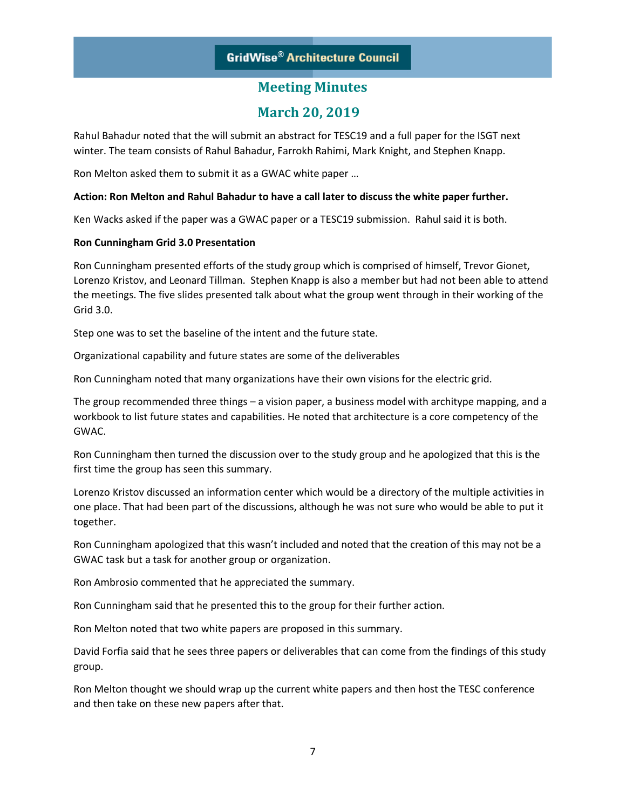# **March 20, 2019**

Rahul Bahadur noted that the will submit an abstract for TESC19 and a full paper for the ISGT next winter. The team consists of Rahul Bahadur, Farrokh Rahimi, Mark Knight, and Stephen Knapp.

Ron Melton asked them to submit it as a GWAC white paper …

### **Action: Ron Melton and Rahul Bahadur to have a call later to discuss the white paper further.**

Ken Wacks asked if the paper was a GWAC paper or a TESC19 submission. Rahul said it is both.

### **Ron Cunningham Grid 3.0 Presentation**

Ron Cunningham presented efforts of the study group which is comprised of himself, Trevor Gionet, Lorenzo Kristov, and Leonard Tillman. Stephen Knapp is also a member but had not been able to attend the meetings. The five slides presented talk about what the group went through in their working of the Grid 3.0.

Step one was to set the baseline of the intent and the future state.

Organizational capability and future states are some of the deliverables

Ron Cunningham noted that many organizations have their own visions for the electric grid.

The group recommended three things – a vision paper, a business model with architype mapping, and a workbook to list future states and capabilities. He noted that architecture is a core competency of the GWAC.

Ron Cunningham then turned the discussion over to the study group and he apologized that this is the first time the group has seen this summary.

Lorenzo Kristov discussed an information center which would be a directory of the multiple activities in one place. That had been part of the discussions, although he was not sure who would be able to put it together.

Ron Cunningham apologized that this wasn't included and noted that the creation of this may not be a GWAC task but a task for another group or organization.

Ron Ambrosio commented that he appreciated the summary.

Ron Cunningham said that he presented this to the group for their further action.

Ron Melton noted that two white papers are proposed in this summary.

David Forfia said that he sees three papers or deliverables that can come from the findings of this study group.

Ron Melton thought we should wrap up the current white papers and then host the TESC conference and then take on these new papers after that.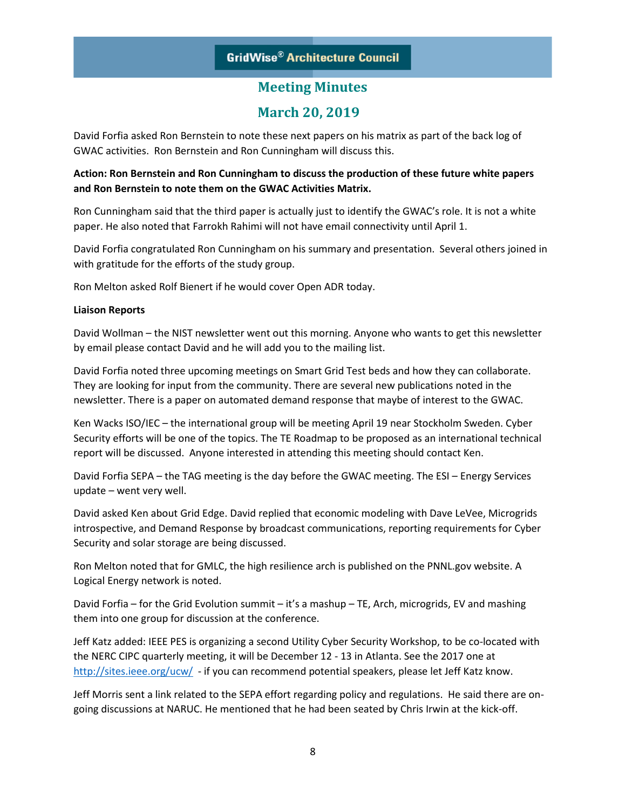# **March 20, 2019**

David Forfia asked Ron Bernstein to note these next papers on his matrix as part of the back log of GWAC activities. Ron Bernstein and Ron Cunningham will discuss this.

### **Action: Ron Bernstein and Ron Cunningham to discuss the production of these future white papers and Ron Bernstein to note them on the GWAC Activities Matrix.**

Ron Cunningham said that the third paper is actually just to identify the GWAC's role. It is not a white paper. He also noted that Farrokh Rahimi will not have email connectivity until April 1.

David Forfia congratulated Ron Cunningham on his summary and presentation. Several others joined in with gratitude for the efforts of the study group.

Ron Melton asked Rolf Bienert if he would cover Open ADR today.

### **Liaison Reports**

David Wollman – the NIST newsletter went out this morning. Anyone who wants to get this newsletter by email please contact David and he will add you to the mailing list.

David Forfia noted three upcoming meetings on Smart Grid Test beds and how they can collaborate. They are looking for input from the community. There are several new publications noted in the newsletter. There is a paper on automated demand response that maybe of interest to the GWAC.

Ken Wacks ISO/IEC – the international group will be meeting April 19 near Stockholm Sweden. Cyber Security efforts will be one of the topics. The TE Roadmap to be proposed as an international technical report will be discussed. Anyone interested in attending this meeting should contact Ken.

David Forfia SEPA – the TAG meeting is the day before the GWAC meeting. The ESI – Energy Services update – went very well.

David asked Ken about Grid Edge. David replied that economic modeling with Dave LeVee, Microgrids introspective, and Demand Response by broadcast communications, reporting requirements for Cyber Security and solar storage are being discussed.

Ron Melton noted that for GMLC, the high resilience arch is published on the PNNL.gov website. A Logical Energy network is noted.

David Forfia – for the Grid Evolution summit – it's a mashup – TE, Arch, microgrids, EV and mashing them into one group for discussion at the conference.

Jeff Katz added: IEEE PES is organizing a second Utility Cyber Security Workshop, to be co-located with the NERC CIPC quarterly meeting, it will be December 12 - 13 in Atlanta. See the 2017 one at <http://sites.ieee.org/ucw/>- if you can recommend potential speakers, please let Jeff Katz know.

Jeff Morris sent a link related to the SEPA effort regarding policy and regulations. He said there are ongoing discussions at NARUC. He mentioned that he had been seated by Chris Irwin at the kick-off.